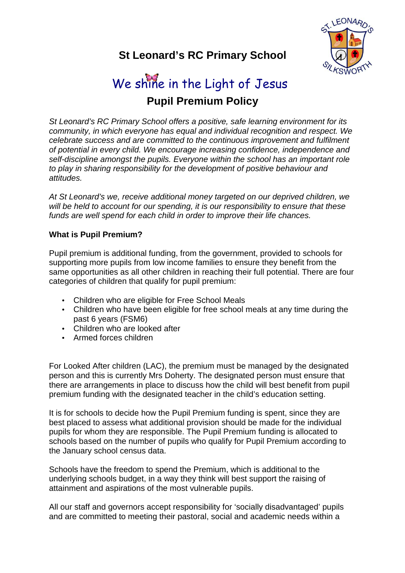

# **St Leonard's RC Primary School**

# **Pupil Premium Policy**  We shine in the Light of Jesus

St Leonard's RC Primary School offers a positive, safe learning environment for its community, in which everyone has equal and individual recognition and respect. We celebrate success and are committed to the continuous improvement and fulfilment of potential in every child. We encourage increasing confidence, independence and self-discipline amongst the pupils. Everyone within the school has an important role to play in sharing responsibility for the development of positive behaviour and attitudes.

At St Leonard's we, receive additional money targeted on our deprived children, we will be held to account for our spending, it is our responsibility to ensure that these funds are well spend for each child in order to improve their life chances.

# **What is Pupil Premium?**

Pupil premium is additional funding, from the government, provided to schools for supporting more pupils from low income families to ensure they benefit from the same opportunities as all other children in reaching their full potential. There are four categories of children that qualify for pupil premium:

- Children who are eligible for Free School Meals
- Children who have been eligible for free school meals at any time during the past 6 years (FSM6)
- Children who are looked after
- Armed forces children

For Looked After children (LAC), the premium must be managed by the designated person and this is currently Mrs Doherty. The designated person must ensure that there are arrangements in place to discuss how the child will best benefit from pupil premium funding with the designated teacher in the child's education setting.

It is for schools to decide how the Pupil Premium funding is spent, since they are best placed to assess what additional provision should be made for the individual pupils for whom they are responsible. The Pupil Premium funding is allocated to schools based on the number of pupils who qualify for Pupil Premium according to the January school census data.

Schools have the freedom to spend the Premium, which is additional to the underlying schools budget, in a way they think will best support the raising of attainment and aspirations of the most vulnerable pupils.

All our staff and governors accept responsibility for 'socially disadvantaged' pupils and are committed to meeting their pastoral, social and academic needs within a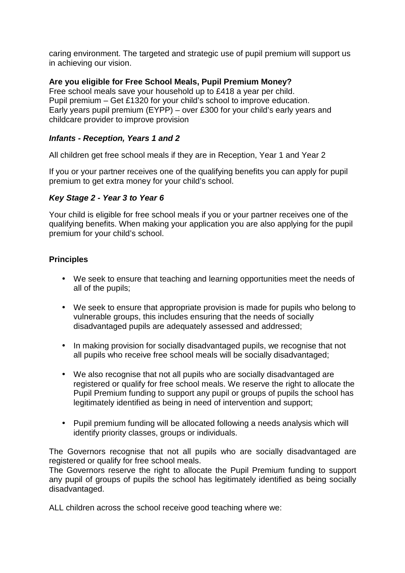caring environment. The targeted and strategic use of pupil premium will support us in achieving our vision.

### **Are you eligible for Free School Meals, Pupil Premium Money?**

Free school meals save your household up to £418 a year per child. Pupil premium – Get £1320 for your child's school to improve education. Early years pupil premium (EYPP) – over £300 for your child's early years and childcare provider to improve provision

#### **Infants - Reception, Years 1 and 2**

All children get free school meals if they are in Reception, Year 1 and Year 2

If you or your partner receives one of the qualifying benefits you can apply for pupil premium to get extra money for your child's school.

#### **Key Stage 2 - Year 3 to Year 6**

Your child is eligible for free school meals if you or your partner receives one of the qualifying benefits. When making your application you are also applying for the pupil premium for your child's school.

#### **Principles**

- We seek to ensure that teaching and learning opportunities meet the needs of all of the pupils;
- We seek to ensure that appropriate provision is made for pupils who belong to vulnerable groups, this includes ensuring that the needs of socially disadvantaged pupils are adequately assessed and addressed;
- In making provision for socially disadvantaged pupils, we recognise that not all pupils who receive free school meals will be socially disadvantaged;
- We also recognise that not all pupils who are socially disadvantaged are registered or qualify for free school meals. We reserve the right to allocate the Pupil Premium funding to support any pupil or groups of pupils the school has legitimately identified as being in need of intervention and support;
- Pupil premium funding will be allocated following a needs analysis which will identify priority classes, groups or individuals.

The Governors recognise that not all pupils who are socially disadvantaged are registered or qualify for free school meals.

The Governors reserve the right to allocate the Pupil Premium funding to support any pupil of groups of pupils the school has legitimately identified as being socially disadvantaged.

ALL children across the school receive good teaching where we: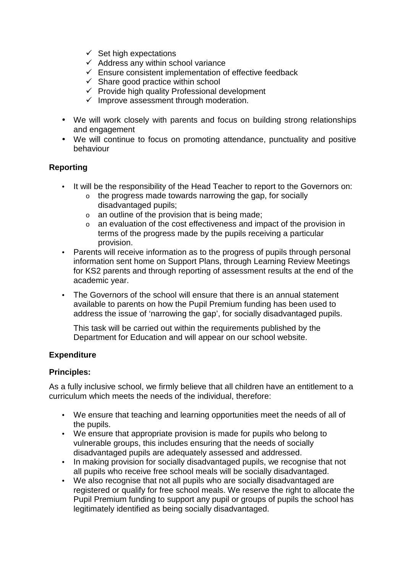- $\checkmark$  Set high expectations
- $\checkmark$  Address any within school variance
- $\checkmark$  Ensure consistent implementation of effective feedback
- $\checkmark$  Share good practice within school
- $\checkmark$  Provide high quality Professional development
- $\checkmark$  Improve assessment through moderation.
- We will work closely with parents and focus on building strong relationships and engagement
- We will continue to focus on promoting attendance, punctuality and positive behaviour

#### **Reporting**

- It will be the responsibility of the Head Teacher to report to the Governors on:
	- o the progress made towards narrowing the gap, for socially disadvantaged pupils;
	- $\circ$  an outline of the provision that is being made;
	- o an evaluation of the cost effectiveness and impact of the provision in terms of the progress made by the pupils receiving a particular provision.
- Parents will receive information as to the progress of pupils through personal information sent home on Support Plans, through Learning Review Meetings for KS2 parents and through reporting of assessment results at the end of the academic year.
- The Governors of the school will ensure that there is an annual statement available to parents on how the Pupil Premium funding has been used to address the issue of 'narrowing the gap', for socially disadvantaged pupils.

This task will be carried out within the requirements published by the Department for Education and will appear on our school website.

# **Expenditure**

#### **Principles:**

As a fully inclusive school, we firmly believe that all children have an entitlement to a curriculum which meets the needs of the individual, therefore:

- We ensure that teaching and learning opportunities meet the needs of all of the pupils.
- We ensure that appropriate provision is made for pupils who belong to vulnerable groups, this includes ensuring that the needs of socially disadvantaged pupils are adequately assessed and addressed.
- In making provision for socially disadvantaged pupils, we recognise that not all pupils who receive free school meals will be socially disadvantaged.
- We also recognise that not all pupils who are socially disadvantaged are registered or qualify for free school meals. We reserve the right to allocate the Pupil Premium funding to support any pupil or groups of pupils the school has legitimately identified as being socially disadvantaged.